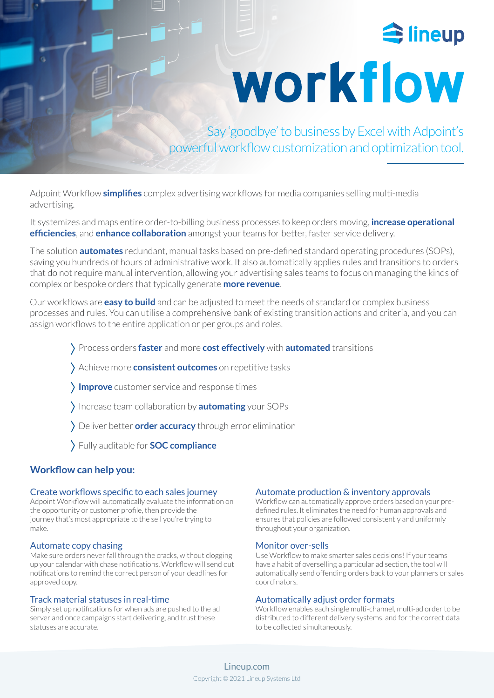

# workflow

Say 'goodbye' to business by Excel with Adpoint's powerful workflow customization and optimization tool.

Adpoint Workflow **simplifies** complex advertising workflows for media companies selling multi-media advertising.

It systemizes and maps entire order-to-billing business processes to keep orders moving, **increase operational efficiencies**, and **enhance collaboration** amongst your teams for better, faster service delivery.

The solution **automates** redundant, manual tasks based on pre-defined standard operating procedures (SOPs), saving you hundreds of hours of administrative work. It also automatically applies rules and transitions to orders that do not require manual intervention, allowing your advertising sales teams to focus on managing the kinds of complex or bespoke orders that typically generate **more revenue**.

Our workflows are **easy to build** and can be adjusted to meet the needs of standard or complex business processes and rules. You can utilise a comprehensive bank of existing transition actions and criteria, and you can assign workflows to the entire application or per groups and roles.

- Process orders **faster** and more **cost effectively** with **automated** transitions
- Achieve more **consistent outcomes** on repetitive tasks
- **Improve** customer service and response times
- Increase team collaboration by **automating** your SOPs
- Deliver better **order accuracy** through error elimination
- Fully auditable for **SOC compliance**

# **Workflow can help you:**

### Create workflows specific to each sales journey

Adpoint Workflow will automatically evaluate the information on the opportunity or customer profile, then provide the journey that's most appropriate to the sell you're trying to make.

## Automate copy chasing

Make sure orders never fall through the cracks, without clogging up your calendar with chase notifications. Workflow will send out notifications to remind the correct person of your deadlines for approved copy.

## Track material statuses in real-time

Simply set up notifications for when ads are pushed to the ad server and once campaigns start delivering, and trust these statuses are accurate.

#### Automate production & inventory approvals

Workflow can automatically approve orders based on your predefined rules. It eliminates the need for human approvals and ensures that policies are followed consistently and uniformly throughout your organization.

### Monitor over-sells

Use Workflow to make smarter sales decisions! If your teams have a habit of overselling a particular ad section, the tool will automatically send offending orders back to your planners or sales coordinators.

### Automatically adjust order formats

Workflow enables each single multi-channel, multi-ad order to be distributed to different delivery systems, and for the correct data to be collected simultaneously.